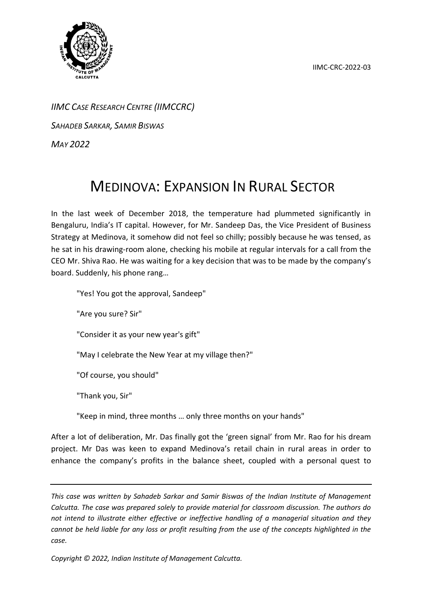IIMC-CRC-2022-03



*IIMC CASE RESEARCH CENTRE (IIMCCRC)*

*SAHADEB SARKAR, SAMIR BISWAS*

*MAY 2022*

## MEDINOVA: EXPANSION IN RURAL SECTOR

In the last week of December 2018, the temperature had plummeted significantly in Bengaluru, India's IT capital. However, for Mr. Sandeep Das, the Vice President of Business Strategy at Medinova, it somehow did not feel so chilly; possibly because he was tensed, as he sat in his drawing-room alone, checking his mobile at regular intervals for a call from the CEO Mr. Shiva Rao. He was waiting for a key decision that was to be made by the company's board. Suddenly, his phone rang…

"Yes! You got the approval, Sandeep"

"Are you sure? Sir"

"Consider it as your new year's gift"

"May I celebrate the New Year at my village then?"

"Of course, you should"

"Thank you, Sir"

"Keep in mind, three months … only three months on your hands"

After a lot of deliberation, Mr. Das finally got the 'green signal' from Mr. Rao for his dream project. Mr Das was keen to expand Medinova's retail chain in rural areas in order to enhance the company's profits in the balance sheet, coupled with a personal quest to

*This case was written by Sahadeb Sarkar and Samir Biswas of the Indian Institute of Management Calcutta. The case was prepared solely to provide material for classroom discussion. The authors do not intend to illustrate either effective or ineffective handling of a managerial situation and they cannot be held liable for any loss or profit resulting from the use of the concepts highlighted in the case.*

*Copyright © 2022, Indian Institute of Management Calcutta.*